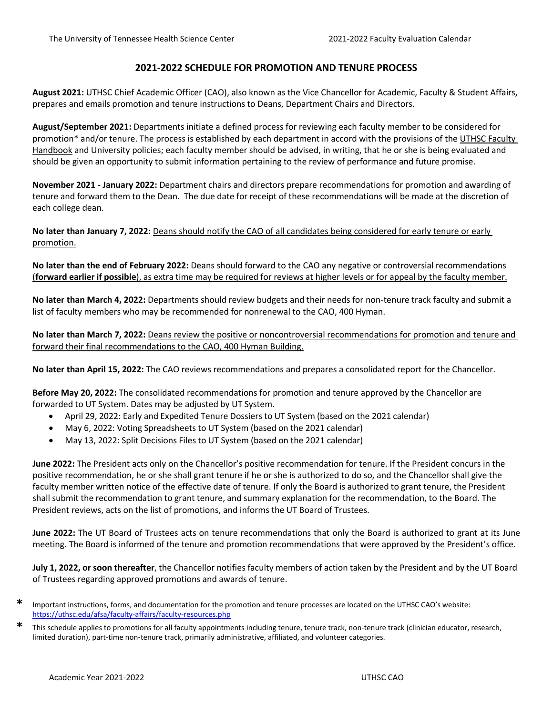# **2021-2022 SCHEDULE FOR PROMOTION AND TENURE PROCESS**

**August 2021:** UTHSC Chief Academic Officer (CAO), also known as the Vice Chancellor for Academic, Faculty & Student Affairs, prepares and emails promotion and tenure instructions to Deans, Department Chairs and Directors.

**August/September 2021:** Departments initiate a defined process for reviewing each faculty member to be considered for promotion\* and/or tenure. The process is established by each department in accord with the provisions of the UTHSC Faculty Handbook and University policies; each faculty member should be advised, in writing, that he or she is being evaluated and should be given an opportunity to submit information pertaining to the review of performance and future promise.

**November 2021 - January 2022:** Department chairs and directors prepare recommendations for promotion and awarding of tenure and forward them to the Dean. The due date for receipt of these recommendations will be made at the discretion of each college dean.

**No later than January 7, 2022:** Deans should notify the CAO of all candidates being considered for early tenure or early promotion.

**No later than the end of February 2022:** Deans should forward to the CAO any negative or controversial recommendations (**forward earlier if possible**), as extra time may be required for reviews at higher levels or for appeal by the faculty member.

**No later than March 4, 2022:** Departments should review budgets and their needs for non-tenure track faculty and submit a list of faculty members who may be recommended for nonrenewal to the CAO, 400 Hyman.

**No later than March 7, 2022:** Deans review the positive or noncontroversial recommendations for promotion and tenure and forward their final recommendations to the CAO, 400 Hyman Building.

**No later than April 15, 2022:** The CAO reviews recommendations and prepares a consolidated report for the Chancellor.

**Before May 20, 2022:** The consolidated recommendations for promotion and tenure approved by the Chancellor are forwarded to UT System. Dates may be adjusted by UT System.

- April 29, 2022: Early and Expedited Tenure Dossiers to UT System (based on the 2021 calendar)
- May 6, 2022: Voting Spreadsheets to UT System (based on the 2021 calendar)
- May 13, 2022: Split Decisions Files to UT System (based on the 2021 calendar)

**June 2022:** The President acts only on the Chancellor's positive recommendation for tenure. If the President concurs in the positive recommendation, he or she shall grant tenure if he or she is authorized to do so, and the Chancellor shall give the faculty member written notice of the effective date of tenure. If only the Board is authorized to grant tenure, the President shall submit the recommendation to grant tenure, and summary explanation for the recommendation, to the Board. The President reviews, acts on the list of promotions, and informs the UT Board of Trustees.

**June 2022:** The UT Board of Trustees acts on tenure recommendations that only the Board is authorized to grant at its June meeting. The Board is informed of the tenure and promotion recommendations that were approved by the President's office.

**July 1, 2022, or soon thereafter**, the Chancellor notifies faculty members of action taken by the President and by the UT Board of Trustees regarding approved promotions and awards of tenure.

**<sup>\*</sup>** Important instructions, forms, and documentation for the promotion and tenure processes are located on the UTHSC CAO's website: https://uthsc.edu/afsa/faculty-affairs/faculty-resources.php

**<sup>\*</sup>** This schedule applies to promotions for all faculty appointments including tenure, tenure track, non-tenure track (clinician educator, research, limited duration), part-time non-tenure track, primarily administrative, affiliated, and volunteer categories.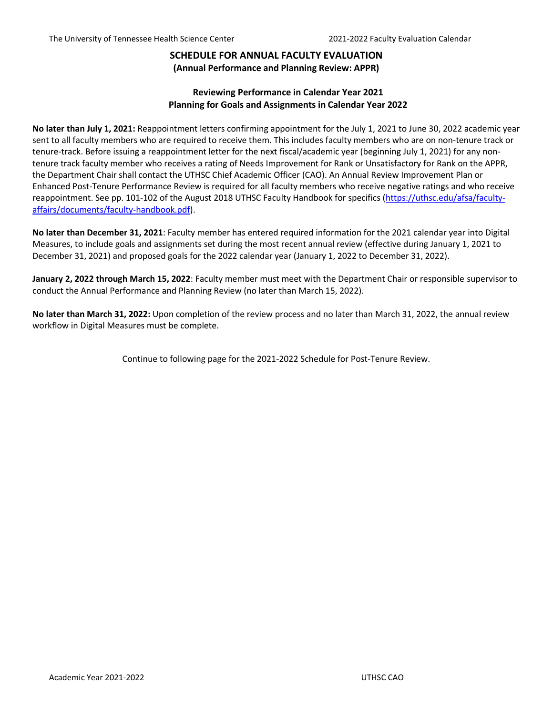## **SCHEDULE FOR ANNUAL FACULTY EVALUATION (Annual Performance and Planning Review: APPR)**

## **Reviewing Performance in Calendar Year 2021 Planning for Goals and Assignments in Calendar Year 2022**

**No later than July 1, 2021:** Reappointment letters confirming appointment for the July 1, 2021 to June 30, 2022 academic year sent to all faculty members who are required to receive them. This includes faculty members who are on non-tenure track or tenure-track. Before issuing a reappointment letter for the next fiscal/academic year (beginning July 1, 2021) for any nontenure track faculty member who receives a rating of Needs Improvement for Rank or Unsatisfactory for Rank on the APPR, the Department Chair shall contact the UTHSC Chief Academic Officer (CAO). An Annual Review Improvement Plan or Enhanced Post-Tenure Performance Review is required for all faculty members who receive negative ratings and who receive reappointment. See pp. 101-102 of the August 2018 UTHSC Faculty Handbook for specifics [\(https://uthsc.edu/afsa/faculty](https://uthsc.edu/afsa/faculty-affairs/documents/faculty-handbook.pdf)[affairs/documents/faculty-handbook.pdf\)](https://uthsc.edu/afsa/faculty-affairs/documents/faculty-handbook.pdf).

**No later than December 31, 2021**: Faculty member has entered required information for the 2021 calendar year into Digital Measures, to include goals and assignments set during the most recent annual review (effective during January 1, 2021 to December 31, 2021) and proposed goals for the 2022 calendar year (January 1, 2022 to December 31, 2022).

**January 2, 2022 through March 15, 2022**: Faculty member must meet with the Department Chair or responsible supervisor to conduct the Annual Performance and Planning Review (no later than March 15, 2022).

**No later than March 31, 2022:** Upon completion of the review process and no later than March 31, 2022, the annual review workflow in Digital Measures must be complete.

Continue to following page for the 2021-2022 Schedule for Post-Tenure Review.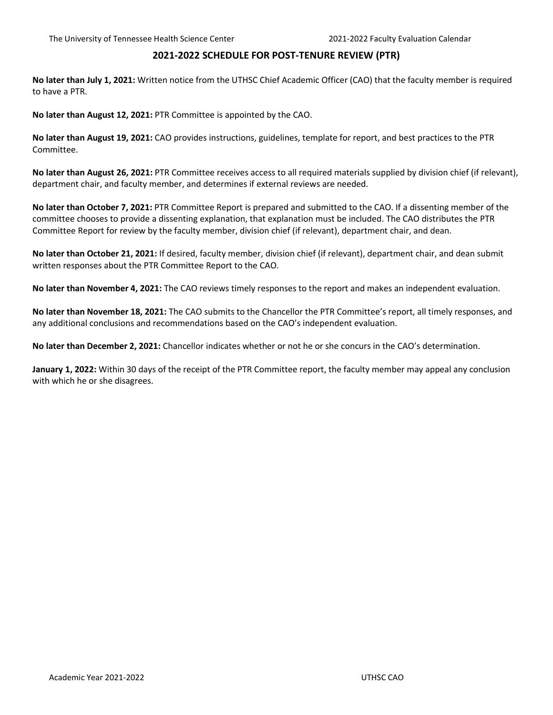#### **2021-2022 SCHEDULE FOR POST-TENURE REVIEW (PTR)**

**No later than July 1, 2021:** Written notice from the UTHSC Chief Academic Officer (CAO) that the faculty member is required to have a PTR.

**No later than August 12, 2021:** PTR Committee is appointed by the CAO.

**No later than August 19, 2021:** CAO provides instructions, guidelines, template for report, and best practices to the PTR Committee.

**No later than August 26, 2021:** PTR Committee receives access to all required materials supplied by division chief (if relevant), department chair, and faculty member, and determines if external reviews are needed.

**No later than October 7, 2021:** PTR Committee Report is prepared and submitted to the CAO. If a dissenting member of the committee chooses to provide a dissenting explanation, that explanation must be included. The CAO distributes the PTR Committee Report for review by the faculty member, division chief (if relevant), department chair, and dean.

**No later than October 21, 2021:** If desired, faculty member, division chief (if relevant), department chair, and dean submit written responses about the PTR Committee Report to the CAO.

**No later than November 4, 2021:** The CAO reviews timely responses to the report and makes an independent evaluation.

**No later than November 18, 2021:** The CAO submits to the Chancellor the PTR Committee's report, all timely responses, and any additional conclusions and recommendations based on the CAO's independent evaluation.

**No later than December 2, 2021:** Chancellor indicates whether or not he or she concurs in the CAO's determination.

**January 1, 2022:** Within 30 days of the receipt of the PTR Committee report, the faculty member may appeal any conclusion with which he or she disagrees.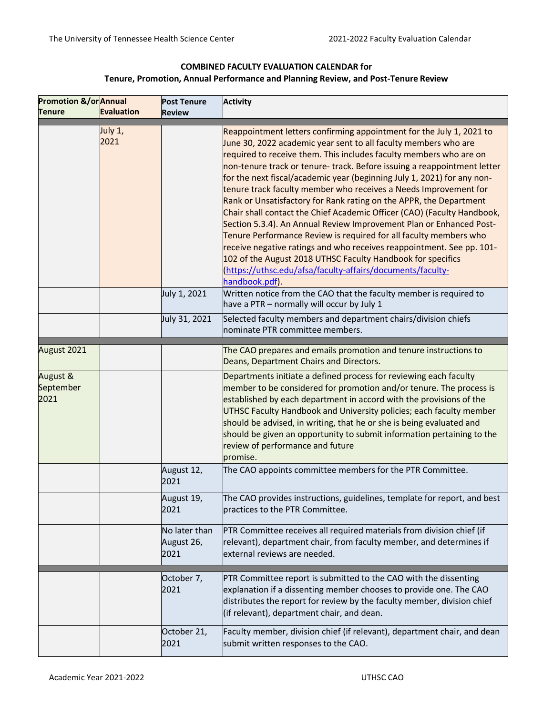# **COMBINED FACULTY EVALUATION CALENDAR for Tenure, Promotion, Annual Performance and Planning Review, and Post-Tenure Review**

| <b>Promotion &amp;/or</b> Annual |                   | <b>Post Tenure</b>                  | Activity                                                                                                                                                                                                                                                                                                                                                                                                                                                                                                                                                                                                                                                                                                                                                                                                                                                                                                                                                      |
|----------------------------------|-------------------|-------------------------------------|---------------------------------------------------------------------------------------------------------------------------------------------------------------------------------------------------------------------------------------------------------------------------------------------------------------------------------------------------------------------------------------------------------------------------------------------------------------------------------------------------------------------------------------------------------------------------------------------------------------------------------------------------------------------------------------------------------------------------------------------------------------------------------------------------------------------------------------------------------------------------------------------------------------------------------------------------------------|
| <b>Tenure</b>                    | <b>Evaluation</b> | <b>Review</b>                       |                                                                                                                                                                                                                                                                                                                                                                                                                                                                                                                                                                                                                                                                                                                                                                                                                                                                                                                                                               |
|                                  | July 1,<br>2021   |                                     | Reappointment letters confirming appointment for the July 1, 2021 to<br>June 30, 2022 academic year sent to all faculty members who are<br>required to receive them. This includes faculty members who are on<br>non-tenure track or tenure- track. Before issuing a reappointment letter<br>for the next fiscal/academic year (beginning July 1, 2021) for any non-<br>tenure track faculty member who receives a Needs Improvement for<br>Rank or Unsatisfactory for Rank rating on the APPR, the Department<br>Chair shall contact the Chief Academic Officer (CAO) (Faculty Handbook,<br>Section 5.3.4). An Annual Review Improvement Plan or Enhanced Post-<br>Tenure Performance Review is required for all faculty members who<br>receive negative ratings and who receives reappointment. See pp. 101-<br>102 of the August 2018 UTHSC Faculty Handbook for specifics<br>(https://uthsc.edu/afsa/faculty-affairs/documents/faculty-<br>handbook.pdf). |
|                                  |                   | July 1, 2021                        | Written notice from the CAO that the faculty member is required to<br>have a PTR - normally will occur by July 1                                                                                                                                                                                                                                                                                                                                                                                                                                                                                                                                                                                                                                                                                                                                                                                                                                              |
|                                  |                   | July 31, 2021                       | Selected faculty members and department chairs/division chiefs<br>nominate PTR committee members.                                                                                                                                                                                                                                                                                                                                                                                                                                                                                                                                                                                                                                                                                                                                                                                                                                                             |
| August 2021                      |                   |                                     | The CAO prepares and emails promotion and tenure instructions to<br>Deans, Department Chairs and Directors.                                                                                                                                                                                                                                                                                                                                                                                                                                                                                                                                                                                                                                                                                                                                                                                                                                                   |
| August &<br>September<br>2021    |                   |                                     | Departments initiate a defined process for reviewing each faculty<br>member to be considered for promotion and/or tenure. The process is<br>established by each department in accord with the provisions of the<br>UTHSC Faculty Handbook and University policies; each faculty member<br>should be advised, in writing, that he or she is being evaluated and<br>should be given an opportunity to submit information pertaining to the<br>review of performance and future<br>promise.                                                                                                                                                                                                                                                                                                                                                                                                                                                                      |
|                                  |                   | August 12,<br>2021                  | The CAO appoints committee members for the PTR Committee.                                                                                                                                                                                                                                                                                                                                                                                                                                                                                                                                                                                                                                                                                                                                                                                                                                                                                                     |
|                                  |                   | August 19,<br>2021                  | The CAO provides instructions, guidelines, template for report, and best<br>practices to the PTR Committee.                                                                                                                                                                                                                                                                                                                                                                                                                                                                                                                                                                                                                                                                                                                                                                                                                                                   |
|                                  |                   | No later than<br>August 26,<br>2021 | PTR Committee receives all required materials from division chief (if<br>relevant), department chair, from faculty member, and determines if<br>external reviews are needed.                                                                                                                                                                                                                                                                                                                                                                                                                                                                                                                                                                                                                                                                                                                                                                                  |
|                                  |                   | October 7,<br>2021                  | PTR Committee report is submitted to the CAO with the dissenting<br>explanation if a dissenting member chooses to provide one. The CAO<br>distributes the report for review by the faculty member, division chief<br>(if relevant), department chair, and dean.                                                                                                                                                                                                                                                                                                                                                                                                                                                                                                                                                                                                                                                                                               |
|                                  |                   | October 21,<br>2021                 | Faculty member, division chief (if relevant), department chair, and dean<br>submit written responses to the CAO.                                                                                                                                                                                                                                                                                                                                                                                                                                                                                                                                                                                                                                                                                                                                                                                                                                              |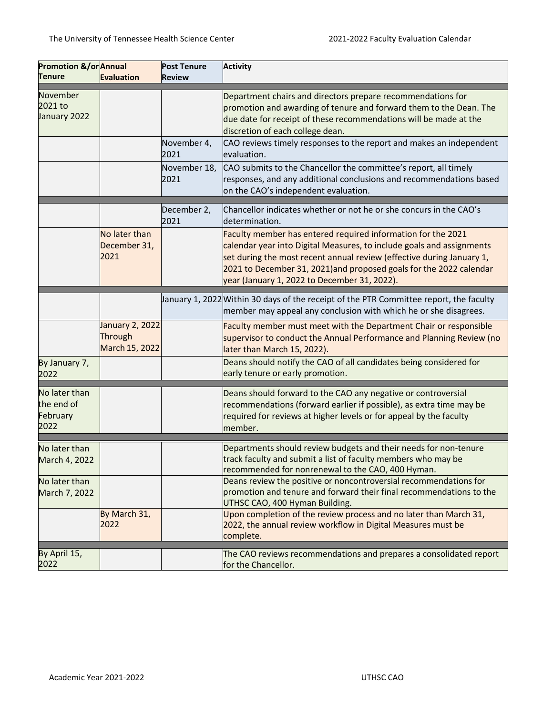| Promotion &/or Annual<br>Tenure                 | <b>Evaluation</b>                                   | <b>Post Tenure</b><br>Review | <b>Activity</b>                                                                                                                                                                                                                                                                                                                       |
|-------------------------------------------------|-----------------------------------------------------|------------------------------|---------------------------------------------------------------------------------------------------------------------------------------------------------------------------------------------------------------------------------------------------------------------------------------------------------------------------------------|
| November<br>2021 to<br>January 2022             |                                                     |                              | Department chairs and directors prepare recommendations for<br>promotion and awarding of tenure and forward them to the Dean. The<br>due date for receipt of these recommendations will be made at the<br>discretion of each college dean.                                                                                            |
|                                                 |                                                     | November 4,<br>2021          | CAO reviews timely responses to the report and makes an independent<br>evaluation.                                                                                                                                                                                                                                                    |
|                                                 |                                                     | November 18,<br>2021         | CAO submits to the Chancellor the committee's report, all timely<br>responses, and any additional conclusions and recommendations based<br>on the CAO's independent evaluation.                                                                                                                                                       |
|                                                 |                                                     | December 2,<br>2021          | Chancellor indicates whether or not he or she concurs in the CAO's<br>determination.                                                                                                                                                                                                                                                  |
|                                                 | No later than<br>December 31,<br>2021               |                              | Faculty member has entered required information for the 2021<br>calendar year into Digital Measures, to include goals and assignments<br>set during the most recent annual review (effective during January 1,<br>2021 to December 31, 2021) and proposed goals for the 2022 calendar<br>year (January 1, 2022 to December 31, 2022). |
|                                                 |                                                     |                              | January 1, 2022 Within 30 days of the receipt of the PTR Committee report, the faculty<br>member may appeal any conclusion with which he or she disagrees.                                                                                                                                                                            |
|                                                 | <b>January 2, 2022</b><br>Through<br>March 15, 2022 |                              | Faculty member must meet with the Department Chair or responsible<br>supervisor to conduct the Annual Performance and Planning Review (no<br>later than March 15, 2022).                                                                                                                                                              |
| By January 7,<br>2022                           |                                                     |                              | Deans should notify the CAO of all candidates being considered for<br>early tenure or early promotion.                                                                                                                                                                                                                                |
| No later than<br>the end of<br>February<br>2022 |                                                     |                              | Deans should forward to the CAO any negative or controversial<br>recommendations (forward earlier if possible), as extra time may be<br>required for reviews at higher levels or for appeal by the faculty<br>member.                                                                                                                 |
| No later than<br>March 4, 2022                  |                                                     |                              | Departments should review budgets and their needs for non-tenure<br>track faculty and submit a list of faculty members who may be<br>recommended for nonrenewal to the CAO, 400 Hyman.                                                                                                                                                |
| No later than<br>March 7, 2022                  |                                                     |                              | Deans review the positive or noncontroversial recommendations for<br>promotion and tenure and forward their final recommendations to the<br>UTHSC CAO, 400 Hyman Building.                                                                                                                                                            |
|                                                 | By March 31,<br>2022                                |                              | Upon completion of the review process and no later than March 31,<br>2022, the annual review workflow in Digital Measures must be<br>complete.                                                                                                                                                                                        |
| By April 15,<br>2022                            |                                                     |                              | The CAO reviews recommendations and prepares a consolidated report<br>for the Chancellor.                                                                                                                                                                                                                                             |